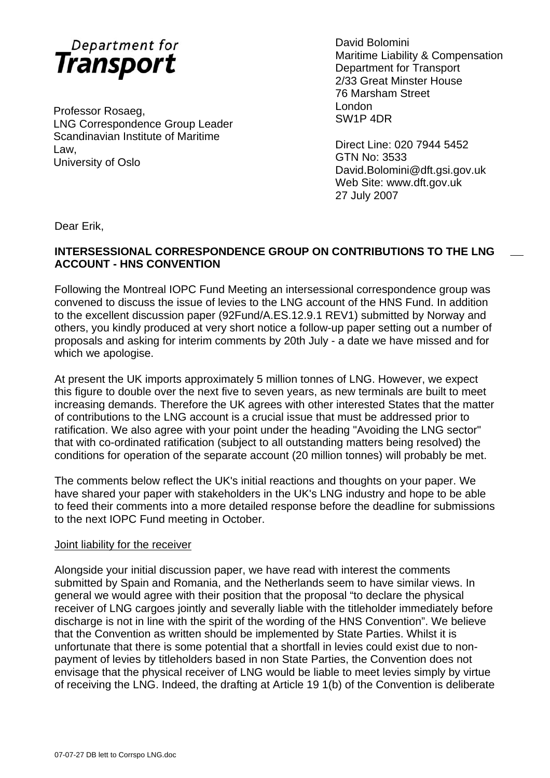

Professor Rosaeg,<br>
London Company and Contract Contract Contract Contract Contract Contract Contract Contract Contract Contract Contract Contract Contract Contract Contract Contract Contract Contract Contract Contract Cont LNG Correspondence Group Leader Scandinavian Institute of Maritime Examentation motivate of matrices<br>Law,<br>University of Oslo

David Bolomini Maritime Liability & Compensation Department for Transport 2/33 Great Minster House 76 Marsham Street

GTN No: 3533 University of Oslo David.Bolomini@dft.gsi.gov.uk Web Site: www.dft.gov.uk 27 July 2007

Dear Erik,

# **INTERSESSIONAL CORRESPONDENCE GROUP ON CONTRIBUTIONS TO THE LNG ACCOUNT - HNS CONVENTION**

Following the Montreal IOPC Fund Meeting an intersessional correspondence group was convened to discuss the issue of levies to the LNG account of the HNS Fund. In addition to the excellent discussion paper (92Fund/A.ES.12.9.1 REV1) submitted by Norway and others, you kindly produced at very short notice a follow-up paper setting out a number of proposals and asking for interim comments by 20th July - a date we have missed and for which we apologise.

At present the UK imports approximately 5 million tonnes of LNG. However, we expect this figure to double over the next five to seven years, as new terminals are built to meet increasing demands. Therefore the UK agrees with other interested States that the matter of contributions to the LNG account is a crucial issue that must be addressed prior to ratification. We also agree with your point under the heading "Avoiding the LNG sector" that with co-ordinated ratification (subject to all outstanding matters being resolved) the conditions for operation of the separate account (20 million tonnes) will probably be met.

The comments below reflect the UK's initial reactions and thoughts on your paper. We have shared your paper with stakeholders in the UK's LNG industry and hope to be able to feed their comments into a more detailed response before the deadline for submissions to the next IOPC Fund meeting in October.

#### Joint liability for the receiver

Alongside your initial discussion paper, we have read with interest the comments submitted by Spain and Romania, and the Netherlands seem to have similar views. In general we would agree with their position that the proposal "to declare the physical receiver of LNG cargoes jointly and severally liable with the titleholder immediately before discharge is not in line with the spirit of the wording of the HNS Convention". We believe that the Convention as written should be implemented by State Parties. Whilst it is unfortunate that there is some potential that a shortfall in levies could exist due to nonpayment of levies by titleholders based in non State Parties, the Convention does not envisage that the physical receiver of LNG would be liable to meet levies simply by virtue of receiving the LNG. Indeed, the drafting at Article 19 1(b) of the Convention is deliberate